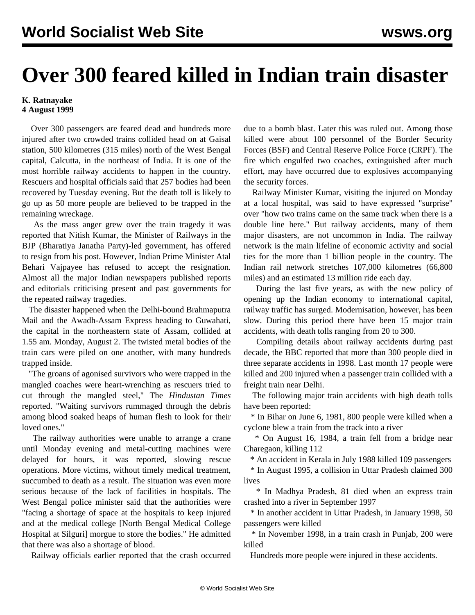## **Over 300 feared killed in Indian train disaster**

## **K. Ratnayake 4 August 1999**

 Over 300 passengers are feared dead and hundreds more injured after two crowded trains collided head on at Gaisal station, 500 kilometres (315 miles) north of the West Bengal capital, Calcutta, in the northeast of India. It is one of the most horrible railway accidents to happen in the country. Rescuers and hospital officials said that 257 bodies had been recovered by Tuesday evening. But the death toll is likely to go up as 50 more people are believed to be trapped in the remaining wreckage.

 As the mass anger grew over the train tragedy it was reported that Nitish Kumar, the Minister of Railways in the BJP (Bharatiya Janatha Party)-led government, has offered to resign from his post. However, Indian Prime Minister Atal Behari Vajpayee has refused to accept the resignation. Almost all the major Indian newspapers published reports and editorials criticising present and past governments for the repeated railway tragedies.

 The disaster happened when the Delhi-bound Brahmaputra Mail and the Awadh-Assam Express heading to Guwahati, the capital in the northeastern state of Assam, collided at 1.55 am. Monday, August 2. The twisted metal bodies of the train cars were piled on one another, with many hundreds trapped inside.

 "The groans of agonised survivors who were trapped in the mangled coaches were heart-wrenching as rescuers tried to cut through the mangled steel," The *Hindustan Times* reported. "Waiting survivors rummaged through the debris among blood soaked heaps of human flesh to look for their loved ones."

 The railway authorities were unable to arrange a crane until Monday evening and metal-cutting machines were delayed for hours, it was reported, slowing rescue operations. More victims, without timely medical treatment, succumbed to death as a result. The situation was even more serious because of the lack of facilities in hospitals. The West Bengal police minister said that the authorities were "facing a shortage of space at the hospitals to keep injured and at the medical college [North Bengal Medical College Hospital at Silguri] morgue to store the bodies." He admitted that there was also a shortage of blood.

Railway officials earlier reported that the crash occurred

due to a bomb blast. Later this was ruled out. Among those killed were about 100 personnel of the Border Security Forces (BSF) and Central Reserve Police Force (CRPF). The fire which engulfed two coaches, extinguished after much effort, may have occurred due to explosives accompanying the security forces.

 Railway Minister Kumar, visiting the injured on Monday at a local hospital, was said to have expressed "surprise" over "how two trains came on the same track when there is a double line here." But railway accidents, many of them major disasters, are not uncommon in India. The railway network is the main lifeline of economic activity and social ties for the more than 1 billion people in the country. The Indian rail network stretches 107,000 kilometres (66,800 miles) and an estimated 13 million ride each day.

 During the last five years, as with the new policy of opening up the Indian economy to international capital, railway traffic has surged. Modernisation, however, has been slow. During this period there have been 15 major train accidents, with death tolls ranging from 20 to 300.

 Compiling details about railway accidents during past decade, the BBC reported that more than 300 people died in three separate accidents in 1998. Last month 17 people were killed and 200 injured when a passenger train collided with a freight train near Delhi.

 The following major train accidents with high death tolls have been reported:

 \* In Bihar on June 6, 1981, 800 people were killed when a cyclone blew a train from the track into a river

 \* On August 16, 1984, a train fell from a bridge near Charegaon, killing 112

\* An accident in Kerala in July 1988 killed 109 passengers

 \* In August 1995, a collision in Uttar Pradesh claimed 300 lives

 \* In Madhya Pradesh, 81 died when an express train crashed into a river in September 1997

 \* In another accident in Uttar Pradesh, in January 1998, 50 passengers were killed

 \* In November 1998, in a train crash in Punjab, 200 were killed

Hundreds more people were injured in these accidents.